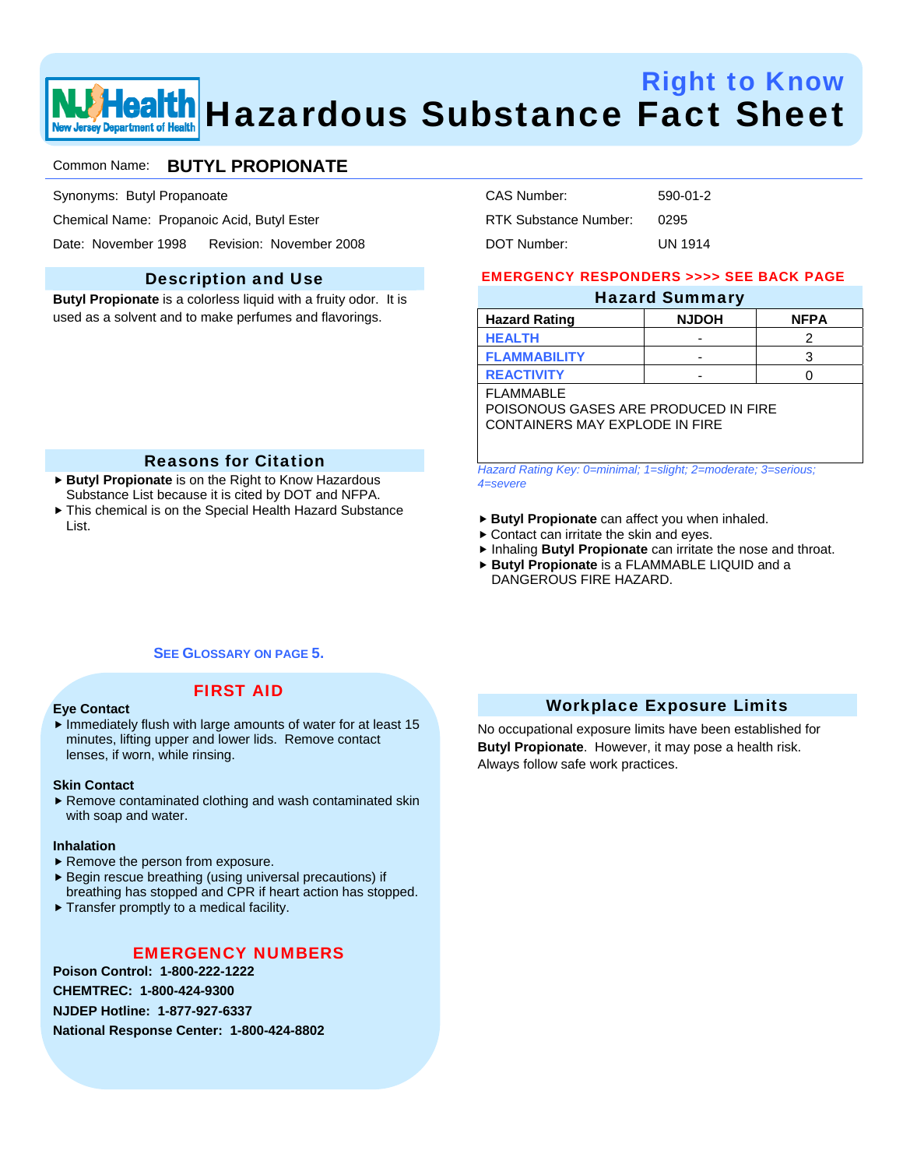# Right to Know Health Hazardous Substance Fact Sheet w Jersey Department of Health

# Common Name: **BUTYL PROPIONATE**

- Synonyms: Butyl Propanoate
- Chemical Name: Propanoic Acid, Butyl Ester
- Date: November 1998 Revision: November 2008

# Description and Use

**Butyl Propionate** is a colorless liquid with a fruity odor. It is used as a solvent and to make perfumes and flavorings.

| CAS Number:           | 590-01-2       |
|-----------------------|----------------|
| RTK Substance Number: | 0295           |
| DOT Number:           | <b>UN 1914</b> |

### EMERGENCY RESPONDERS >>>> SEE BACK PAGE

#### Hazard Summary

| <b>Hazard Rating</b> | <b>NJDOH</b> | <b>NFPA</b> |
|----------------------|--------------|-------------|
| <b>HEALTH</b>        | -            |             |
| <b>FLAMMABILITY</b>  |              |             |
| <b>REACTIVITY</b>    | -            |             |

**FI AMMARI F** 

POISONOUS GASES ARE PRODUCED IN FIRE CONTAINERS MAY EXPLODE IN FIRE

*Hazard Rating Key: 0=minimal; 1=slight; 2=moderate; 3=serious; 4=severe*

- **Butyl Propionate** can affect you when inhaled.
- $\triangleright$  Contact can irritate the skin and eyes.
- **F** Inhaling Butyl Propionate can irritate the nose and throat.
- f **Butyl Propionate** is a FLAMMABLE LIQUID and a DANGEROUS FIRE HAZARD.

## Reasons for Citation

- ▶ Butyl Propionate is on the Right to Know Hazardous Substance List because it is cited by DOT and NFPA.
- $\blacktriangleright$  This chemical is on the Special Health Hazard Substance List.

### **SEE GLOSSARY ON PAGE 5.**

#### **Eye Contact**

- FIRST AID
- $\blacktriangleright$  Immediately flush with large amounts of water for at least 15 minutes, lifting upper and lower lids. Remove contact lenses, if worn, while rinsing.

#### **Skin Contact**

 $\blacktriangleright$  Remove contaminated clothing and wash contaminated skin with soap and water.

#### **Inhalation**

- $\blacktriangleright$  Remove the person from exposure.
- $\blacktriangleright$  Begin rescue breathing (using universal precautions) if breathing has stopped and CPR if heart action has stopped.
- $\blacktriangleright$  Transfer promptly to a medical facility.

# EMERGENCY NUMBERS

**Poison Control: 1-800-222-1222 CHEMTREC: 1-800-424-9300 NJDEP Hotline: 1-877-927-6337 National Response Center: 1-800-424-8802** 

# Workplace Exposure Limits

No occupational exposure limits have been established for **Butyl Propionate**. However, it may pose a health risk. Always follow safe work practices.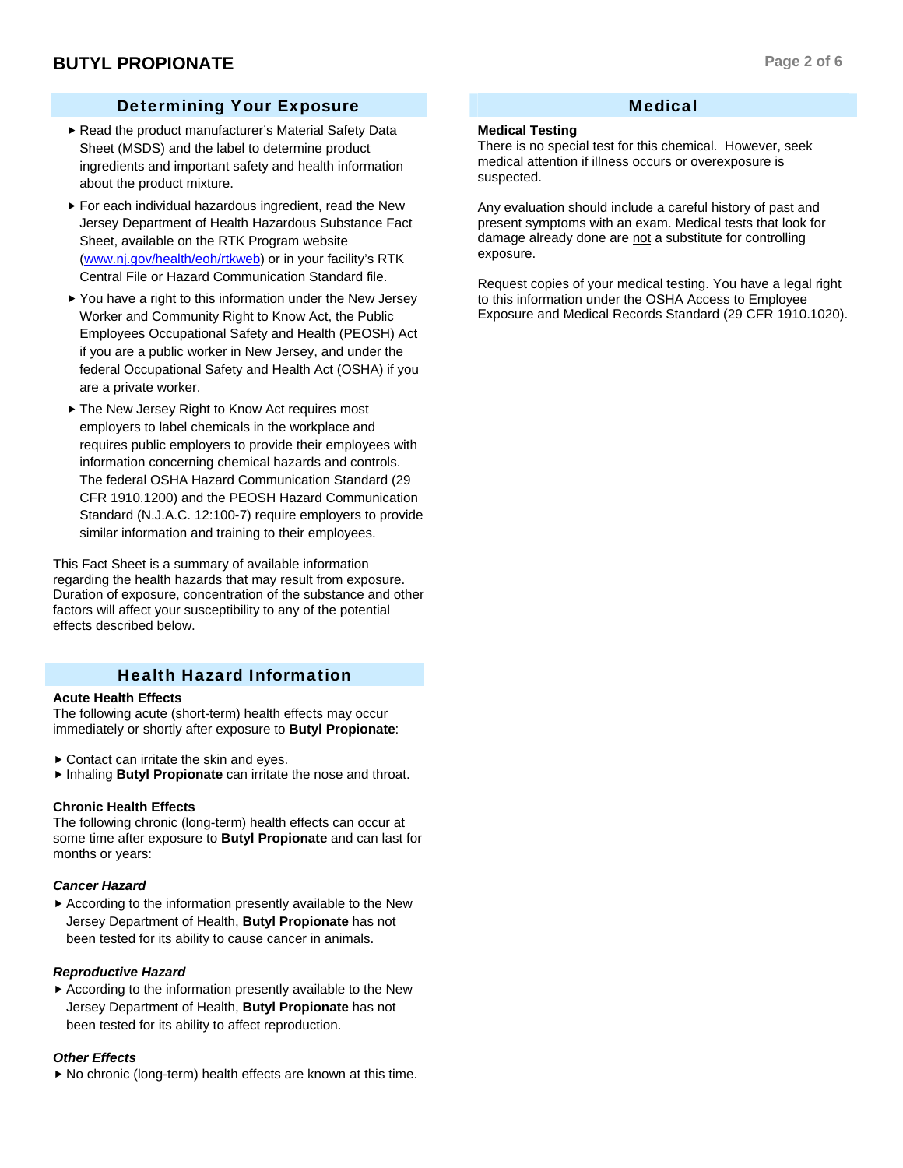# Determining Your Exposure

- Read the product manufacturer's Material Safety Data Sheet (MSDS) and the label to determine product ingredients and important safety and health information about the product mixture.
- $\blacktriangleright$  For each individual hazardous ingredient, read the New Jersey Department of Health Hazardous Substance Fact Sheet, available on the RTK Program website (www.nj.gov/health/eoh/rtkweb) or in your facility's RTK Central File or Hazard Communication Standard file.
- $\blacktriangleright$  You have a right to this information under the New Jersey Worker and Community Right to Know Act, the Public Employees Occupational Safety and Health (PEOSH) Act if you are a public worker in New Jersey, and under the federal Occupational Safety and Health Act (OSHA) if you are a private worker.
- ▶ The New Jersey Right to Know Act requires most employers to label chemicals in the workplace and requires public employers to provide their employees with information concerning chemical hazards and controls. The federal OSHA Hazard Communication Standard (29 CFR 1910.1200) and the PEOSH Hazard Communication Standard (N.J.A.C. 12:100-7) require employers to provide similar information and training to their employees.

This Fact Sheet is a summary of available information regarding the health hazards that may result from exposure. Duration of exposure, concentration of the substance and other factors will affect your susceptibility to any of the potential effects described below.

# Health Hazard Information

#### **Acute Health Effects**

The following acute (short-term) health effects may occur immediately or shortly after exposure to **Butyl Propionate**:

- $\triangleright$  Contact can irritate the skin and eves.
- **F** Inhaling Butyl Propionate can irritate the nose and throat.

### **Chronic Health Effects**

The following chronic (long-term) health effects can occur at some time after exposure to **Butyl Propionate** and can last for months or years:

## *Cancer Hazard*

 $\blacktriangleright$  According to the information presently available to the New Jersey Department of Health, **Butyl Propionate** has not been tested for its ability to cause cancer in animals.

### *Reproductive Hazard*

 $\blacktriangleright$  According to the information presently available to the New Jersey Department of Health, **Butyl Propionate** has not been tested for its ability to affect reproduction.

### *Other Effects*

 $\triangleright$  No chronic (long-term) health effects are known at this time.

# Medical

# **Medical Testing**

There is no special test for this chemical. However, seek medical attention if illness occurs or overexposure is suspected.

Any evaluation should include a careful history of past and present symptoms with an exam. Medical tests that look for damage already done are not a substitute for controlling exposure.

Request copies of your medical testing. You have a legal right to this information under the OSHA Access to Employee Exposure and Medical Records Standard (29 CFR 1910.1020).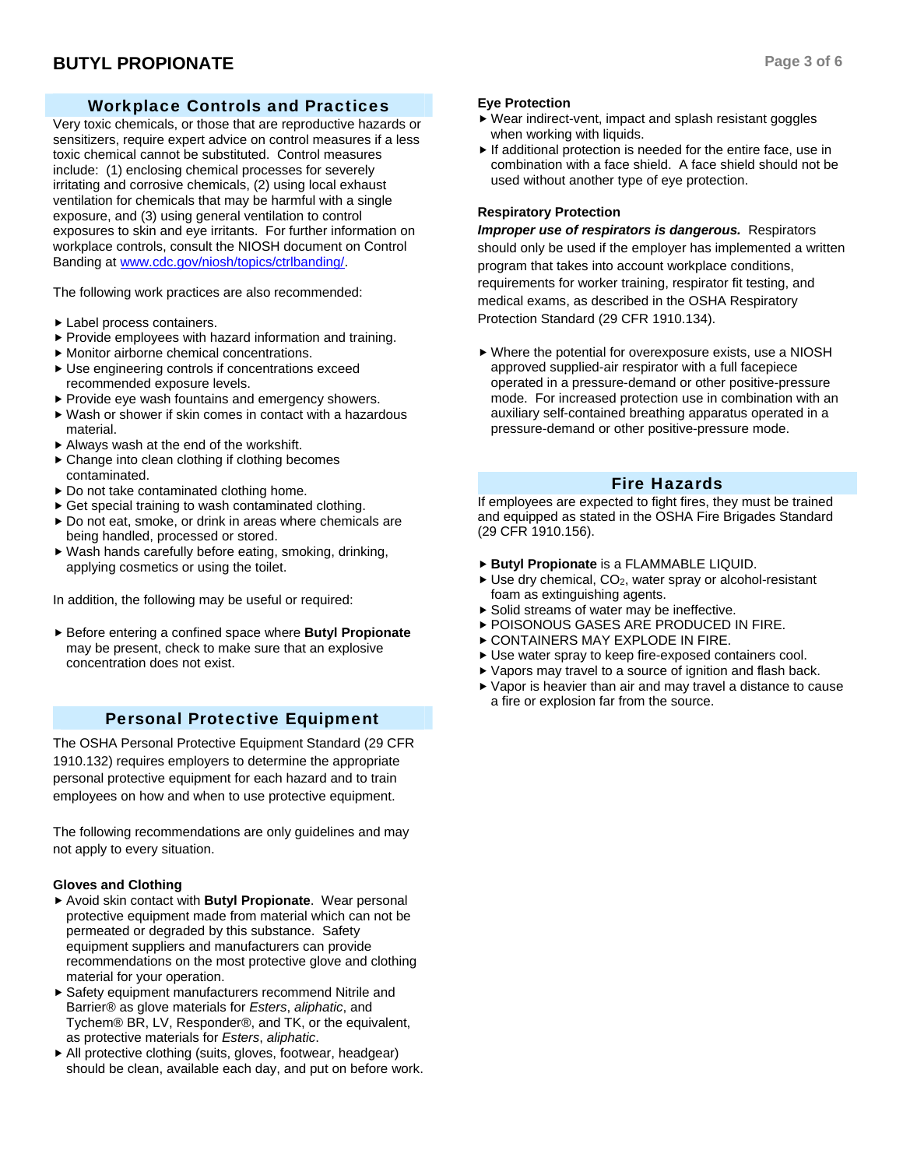# Workplace Controls and Practices

Very toxic chemicals, or those that are reproductive hazards or sensitizers, require expert advice on control measures if a less toxic chemical cannot be substituted. Control measures include: (1) enclosing chemical processes for severely irritating and corrosive chemicals, (2) using local exhaust ventilation for chemicals that may be harmful with a single exposure, and (3) using general ventilation to control exposures to skin and eye irritants. For further information on workplace controls, consult the NIOSH document on Control Banding at www.cdc.gov/niosh/topics/ctrlbanding/.

The following work practices are also recommended:

- $\blacktriangleright$  Label process containers.
- $\blacktriangleright$  Provide employees with hazard information and training.
- $\blacktriangleright$  Monitor airborne chemical concentrations.
- $\blacktriangleright$  Use engineering controls if concentrations exceed recommended exposure levels.
- $\blacktriangleright$  Provide eye wash fountains and emergency showers.
- $\blacktriangleright$  Wash or shower if skin comes in contact with a hazardous material.
- $\blacktriangleright$  Always wash at the end of the workshift.
- $\triangleright$  Change into clean clothing if clothing becomes contaminated.
- $\triangleright$  Do not take contaminated clothing home.
- $\triangleright$  Get special training to wash contaminated clothing.
- $\triangleright$  Do not eat, smoke, or drink in areas where chemicals are being handled, processed or stored.
- $\blacktriangleright$  Wash hands carefully before eating, smoking, drinking, applying cosmetics or using the toilet.

In addition, the following may be useful or required:

▶ Before entering a confined space where **Butyl Propionate** may be present, check to make sure that an explosive concentration does not exist.

## Personal Protective Equipment

The OSHA Personal Protective Equipment Standard (29 CFR 1910.132) requires employers to determine the appropriate personal protective equipment for each hazard and to train employees on how and when to use protective equipment.

The following recommendations are only guidelines and may not apply to every situation.

#### **Gloves and Clothing**

- ▶ Avoid skin contact with **Butyl Propionate**. Wear personal protective equipment made from material which can not be permeated or degraded by this substance. Safety equipment suppliers and manufacturers can provide recommendations on the most protective glove and clothing material for your operation.
- $\triangleright$  Safety equipment manufacturers recommend Nitrile and Barrier® as glove materials for *Esters*, *aliphatic*, and Tychem® BR, LV, Responder®, and TK, or the equivalent, as protective materials for *Esters*, *aliphatic*.
- $\blacktriangleright$  All protective clothing (suits, gloves, footwear, headgear) should be clean, available each day, and put on before work.

#### **Eye Protection**

- $\blacktriangleright$  Wear indirect-vent, impact and splash resistant goggles when working with liquids.
- $\blacktriangleright$  If additional protection is needed for the entire face, use in combination with a face shield. A face shield should not be used without another type of eye protection.

#### **Respiratory Protection**

*Improper use of respirators is dangerous.* Respirators should only be used if the employer has implemented a written program that takes into account workplace conditions, requirements for worker training, respirator fit testing, and medical exams, as described in the OSHA Respiratory Protection Standard (29 CFR 1910.134).

 $\triangleright$  Where the potential for overexposure exists, use a NIOSH approved supplied-air respirator with a full facepiece operated in a pressure-demand or other positive-pressure mode. For increased protection use in combination with an auxiliary self-contained breathing apparatus operated in a pressure-demand or other positive-pressure mode.

### Fire Hazards

If employees are expected to fight fires, they must be trained and equipped as stated in the OSHA Fire Brigades Standard (29 CFR 1910.156).

- **Butyl Propionate** is a FLAMMABLE LIQUID.
- $\triangleright$  Use dry chemical, CO<sub>2</sub>, water spray or alcohol-resistant foam as extinguishing agents.
- $\blacktriangleright$  Solid streams of water may be ineffective.
- **POISONOUS GASES ARE PRODUCED IN FIRE.**
- **CONTAINERS MAY EXPLODE IN FIRE.**
- $\blacktriangleright$  Use water spray to keep fire-exposed containers cool.
- $\blacktriangleright$  Vapors may travel to a source of ignition and flash back.
- $\blacktriangleright$  Vapor is heavier than air and may travel a distance to cause a fire or explosion far from the source.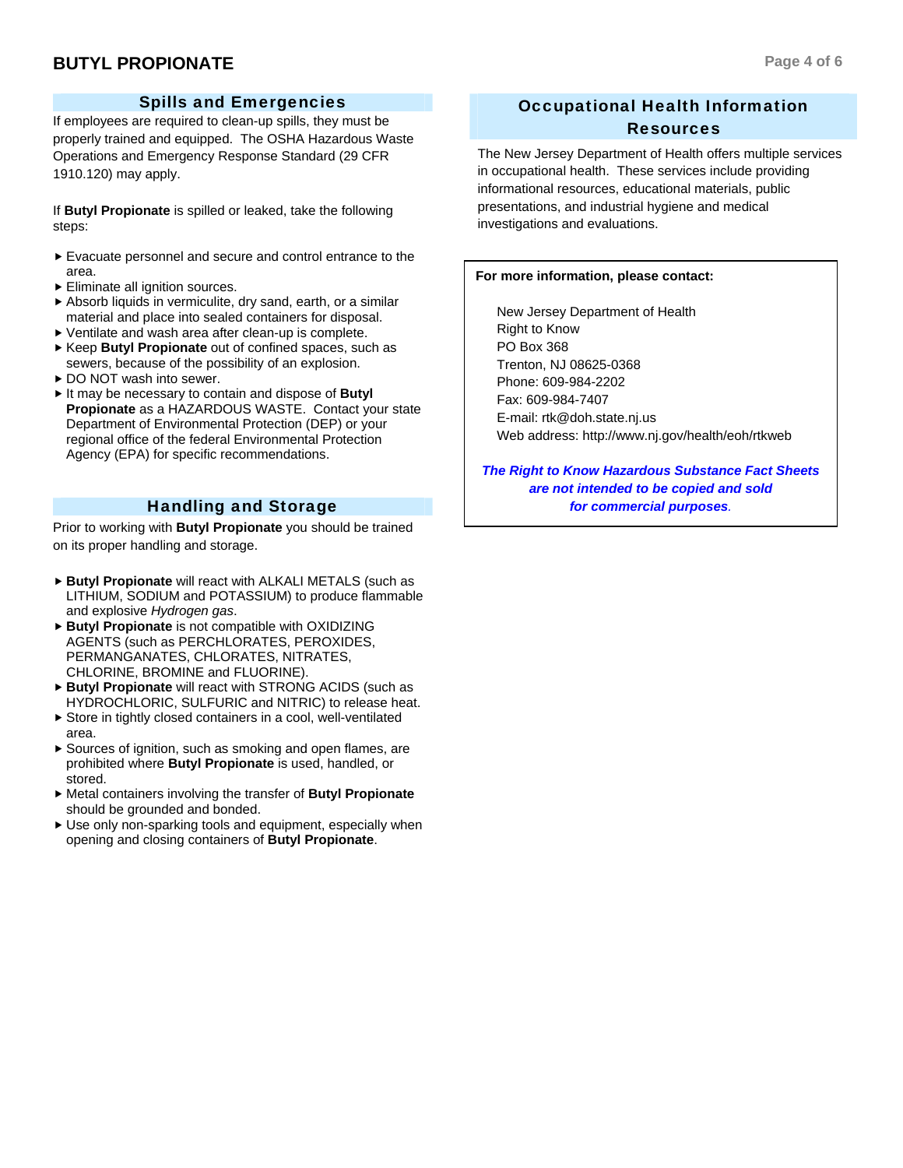# **BUTYL PROPIONATE Page 4 of 6 Page 4 of 6**

## Spills and Emergencies

If employees are required to clean-up spills, they must be properly trained and equipped. The OSHA Hazardous Waste Operations and Emergency Response Standard (29 CFR 1910.120) may apply.

If **Butyl Propionate** is spilled or leaked, take the following steps:

- $\blacktriangleright$  Evacuate personnel and secure and control entrance to the area.
- $\blacktriangleright$  Eliminate all ignition sources.
- $\blacktriangleright$  Absorb liquids in vermiculite, dry sand, earth, or a similar material and place into sealed containers for disposal.
- $\blacktriangleright$  Ventilate and wash area after clean-up is complete.
- ▶ Keep Butyl Propionate out of confined spaces, such as sewers, because of the possibility of an explosion.
- ▶ DO NOT wash into sewer.
- ► It may be necessary to contain and dispose of **Butyl Propionate** as a HAZARDOUS WASTE. Contact your state Department of Environmental Protection (DEP) or your regional office of the federal Environmental Protection Agency (EPA) for specific recommendations.

# Handling and Storage

Prior to working with **Butyl Propionate** you should be trained on its proper handling and storage.

- ▶ Butyl Propionate will react with ALKALI METALS (such as LITHIUM, SODIUM and POTASSIUM) to produce flammable and explosive *Hydrogen gas*.
- **Butyl Propionate** is not compatible with OXIDIZING AGENTS (such as PERCHLORATES, PEROXIDES, PERMANGANATES, CHLORATES, NITRATES, CHLORINE, BROMINE and FLUORINE).
- ▶ Butyl Propionate will react with STRONG ACIDS (such as HYDROCHLORIC, SULFURIC and NITRIC) to release heat.
- $\triangleright$  Store in tightly closed containers in a cool, well-ventilated area.
- $\triangleright$  Sources of ignition, such as smoking and open flames, are prohibited where **Butyl Propionate** is used, handled, or stored.
- $\triangleright$  Metal containers involving the transfer of **Butyl Propionate** should be grounded and bonded.
- $\blacktriangleright$  Use only non-sparking tools and equipment, especially when opening and closing containers of **Butyl Propionate**.

# Occupational Health Information Resources

The New Jersey Department of Health offers multiple services in occupational health. These services include providing informational resources, educational materials, public presentations, and industrial hygiene and medical investigations and evaluations.

#### **For more information, please contact:**

 New Jersey Department of Health Right to Know PO Box 368 Trenton, NJ 08625-0368 Phone: 609-984-2202 Fax: 609-984-7407 E-mail: rtk@doh.state.nj.us Web address: http://www.nj.gov/health/eoh/rtkweb

*The Right to Know Hazardous Substance Fact Sheets are not intended to be copied and sold for commercial purposes.*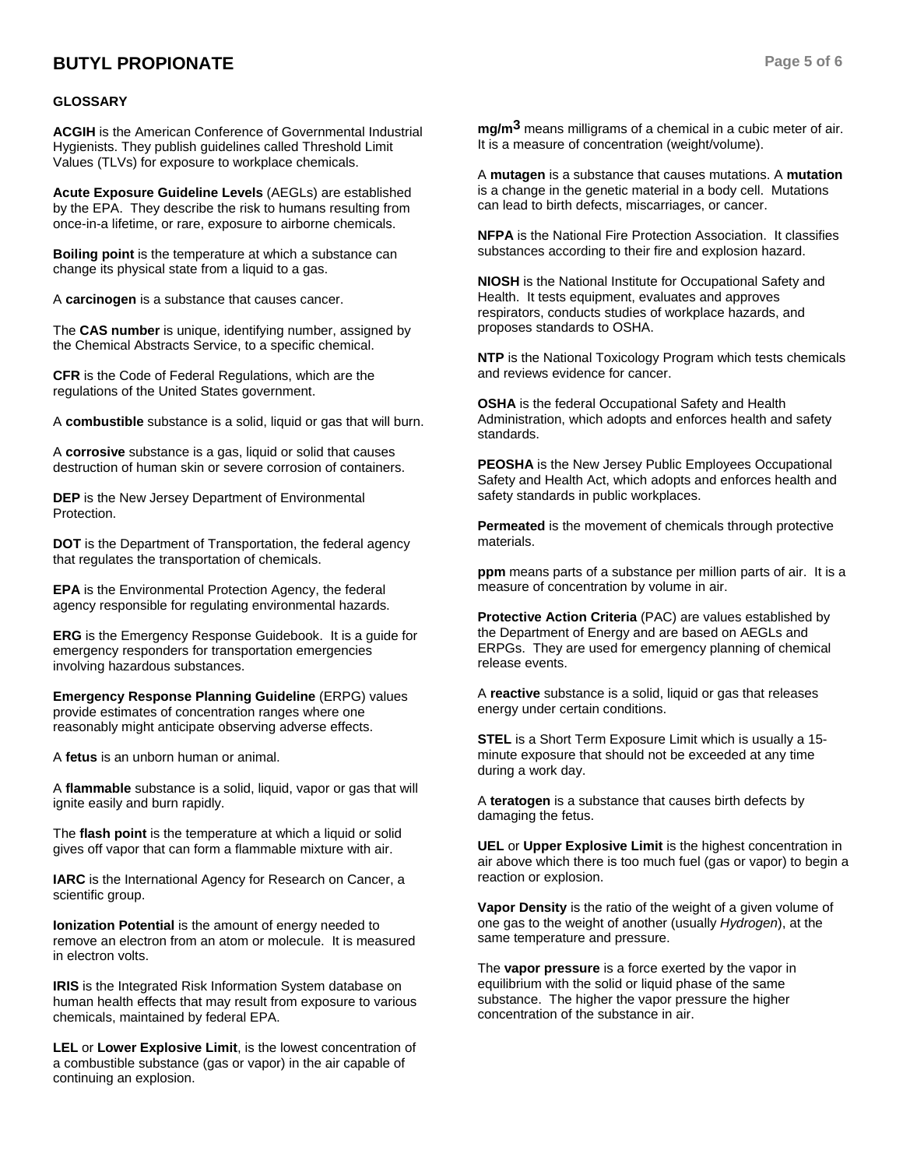# **BUTYL PROPIONATE Page 5 of 6 Page 5 of 6**

#### **GLOSSARY**

**ACGIH** is the American Conference of Governmental Industrial Hygienists. They publish guidelines called Threshold Limit Values (TLVs) for exposure to workplace chemicals.

**Acute Exposure Guideline Levels** (AEGLs) are established by the EPA. They describe the risk to humans resulting from once-in-a lifetime, or rare, exposure to airborne chemicals.

**Boiling point** is the temperature at which a substance can change its physical state from a liquid to a gas.

A **carcinogen** is a substance that causes cancer.

The **CAS number** is unique, identifying number, assigned by the Chemical Abstracts Service, to a specific chemical.

**CFR** is the Code of Federal Regulations, which are the regulations of the United States government.

A **combustible** substance is a solid, liquid or gas that will burn.

A **corrosive** substance is a gas, liquid or solid that causes destruction of human skin or severe corrosion of containers.

**DEP** is the New Jersey Department of Environmental Protection.

**DOT** is the Department of Transportation, the federal agency that regulates the transportation of chemicals.

**EPA** is the Environmental Protection Agency, the federal agency responsible for regulating environmental hazards.

**ERG** is the Emergency Response Guidebook. It is a guide for emergency responders for transportation emergencies involving hazardous substances.

**Emergency Response Planning Guideline** (ERPG) values provide estimates of concentration ranges where one reasonably might anticipate observing adverse effects.

A **fetus** is an unborn human or animal.

A **flammable** substance is a solid, liquid, vapor or gas that will ignite easily and burn rapidly.

The **flash point** is the temperature at which a liquid or solid gives off vapor that can form a flammable mixture with air.

**IARC** is the International Agency for Research on Cancer, a scientific group.

**Ionization Potential** is the amount of energy needed to remove an electron from an atom or molecule. It is measured in electron volts.

**IRIS** is the Integrated Risk Information System database on human health effects that may result from exposure to various chemicals, maintained by federal EPA.

**LEL** or **Lower Explosive Limit**, is the lowest concentration of a combustible substance (gas or vapor) in the air capable of continuing an explosion.

**mg/m3** means milligrams of a chemical in a cubic meter of air. It is a measure of concentration (weight/volume).

A **mutagen** is a substance that causes mutations. A **mutation** is a change in the genetic material in a body cell. Mutations can lead to birth defects, miscarriages, or cancer.

**NFPA** is the National Fire Protection Association. It classifies substances according to their fire and explosion hazard.

**NIOSH** is the National Institute for Occupational Safety and Health. It tests equipment, evaluates and approves respirators, conducts studies of workplace hazards, and proposes standards to OSHA.

**NTP** is the National Toxicology Program which tests chemicals and reviews evidence for cancer.

**OSHA** is the federal Occupational Safety and Health Administration, which adopts and enforces health and safety standards.

**PEOSHA** is the New Jersey Public Employees Occupational Safety and Health Act, which adopts and enforces health and safety standards in public workplaces.

**Permeated** is the movement of chemicals through protective materials.

**ppm** means parts of a substance per million parts of air. It is a measure of concentration by volume in air.

**Protective Action Criteria** (PAC) are values established by the Department of Energy and are based on AEGLs and ERPGs. They are used for emergency planning of chemical release events.

A **reactive** substance is a solid, liquid or gas that releases energy under certain conditions.

**STEL** is a Short Term Exposure Limit which is usually a 15 minute exposure that should not be exceeded at any time during a work day.

A **teratogen** is a substance that causes birth defects by damaging the fetus.

**UEL** or **Upper Explosive Limit** is the highest concentration in air above which there is too much fuel (gas or vapor) to begin a reaction or explosion.

**Vapor Density** is the ratio of the weight of a given volume of one gas to the weight of another (usually *Hydrogen*), at the same temperature and pressure.

The **vapor pressure** is a force exerted by the vapor in equilibrium with the solid or liquid phase of the same substance. The higher the vapor pressure the higher concentration of the substance in air.